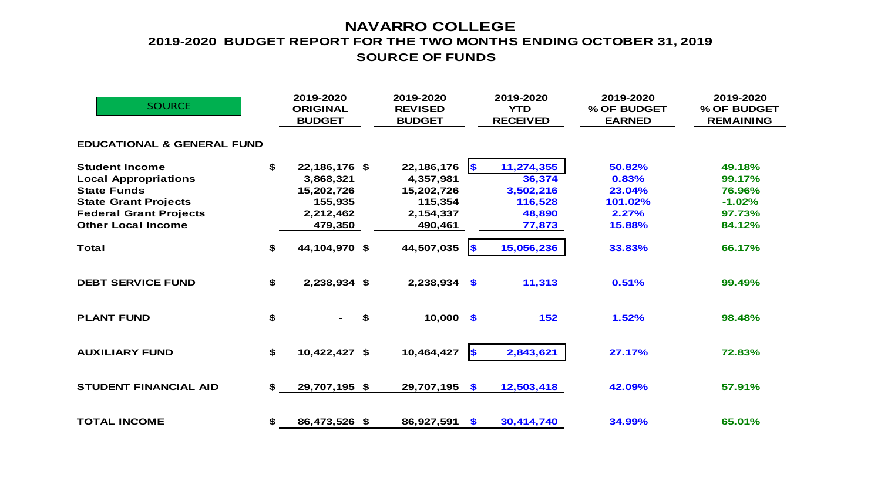## **NAVARRO COLLEGE SOURCE OF FUNDS 2019-2020 BUDGET REPORT FOR THE TWO MONTHS ENDING OCTOBER 31, 2019**

| <b>SOURCE</b>                         | 2019-2020<br><b>ORIGINAL</b><br><b>BUDGET</b> | 2019-2020<br><b>REVISED</b><br><b>BUDGET</b> |                       | 2019-2020<br><b>YTD</b><br><b>RECEIVED</b> | 2019-2020<br>% OF BUDGET<br><b>EARNED</b> | 2019-2020<br>% OF BUDGET<br><b>REMAINING</b> |
|---------------------------------------|-----------------------------------------------|----------------------------------------------|-----------------------|--------------------------------------------|-------------------------------------------|----------------------------------------------|
| <b>EDUCATIONAL &amp; GENERAL FUND</b> |                                               |                                              |                       |                                            |                                           |                                              |
| <b>Student Income</b>                 | \$<br>22,186,176 \$                           | 22,186,176                                   | $\sqrt{S}$            | 11,274,355                                 | 50.82%                                    | 49.18%                                       |
| <b>Local Appropriations</b>           | 3,868,321                                     | 4,357,981                                    |                       | 36,374                                     | 0.83%                                     | 99.17%                                       |
| <b>State Funds</b>                    | 15,202,726                                    | 15,202,726                                   |                       | 3,502,216                                  | 23.04%                                    | 76.96%                                       |
| <b>State Grant Projects</b>           | 155,935                                       | 115,354                                      |                       | 116,528                                    | 101.02%                                   | $-1.02%$                                     |
| <b>Federal Grant Projects</b>         | 2,212,462                                     | 2,154,337                                    |                       | 48,890                                     | 2.27%                                     | 97.73%                                       |
| <b>Other Local Income</b>             | 479,350                                       | 490,461                                      |                       | 77,873                                     | 15.88%                                    | 84.12%                                       |
| <b>Total</b>                          | \$<br>44,104,970 \$                           | 44,507,035                                   | $\sqrt{2}$            | 15,056,236                                 | 33.83%                                    | 66.17%                                       |
| <b>DEBT SERVICE FUND</b>              | \$<br>2,238,934 \$                            | $2,238,934$ \$                               |                       | 11,313                                     | 0.51%                                     | 99.49%                                       |
| <b>PLANT FUND</b>                     | \$                                            | \$<br>$10,000$ \$                            |                       | 152                                        | 1.52%                                     | 98.48%                                       |
| <b>AUXILIARY FUND</b>                 | \$<br>10,422,427 \$                           | 10,464,427                                   | $\blacktriangleright$ | 2,843,621                                  | 27.17%                                    | 72.83%                                       |
| <b>STUDENT FINANCIAL AID</b>          | \$<br>29,707,195 \$                           | 29,707,195                                   | $\mathbf{\$}$         | 12,503,418                                 | 42.09%                                    | 57.91%                                       |
| <b>TOTAL INCOME</b>                   | \$<br>86,473,526 \$                           | 86,927,591                                   | $\sqrt{2}$            | 30,414,740                                 | 34.99%                                    | 65.01%                                       |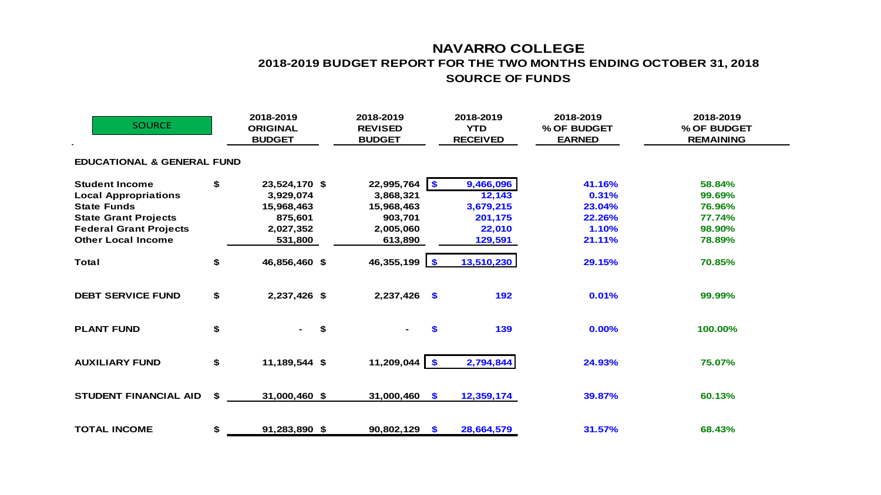## **NAVARRO COLLEGE 2018-2019 BUDGET REPORT FOR THE TWO MONTHS ENDING OCTOBER 31, 2018 SOURCE OF FUNDS**

| <b>SOURCE</b>                                                                                                                                                           | 2018-2019<br><b>ORIGINAL</b><br><b>BUDGET</b>                                     |    | 2018-2019<br><b>REVISED</b><br><b>BUDGET</b>                                  | 2018-2019<br><b>YTD</b><br><b>RECEIVED</b>                       | 2018-2019<br>% OF BUDGET<br><b>EARNED</b>              | 2018-2019<br>% OF BUDGET<br><b>REMAINING</b>             |  |
|-------------------------------------------------------------------------------------------------------------------------------------------------------------------------|-----------------------------------------------------------------------------------|----|-------------------------------------------------------------------------------|------------------------------------------------------------------|--------------------------------------------------------|----------------------------------------------------------|--|
| <b>EDUCATIONAL &amp; GENERAL FUND</b>                                                                                                                                   |                                                                                   |    |                                                                               |                                                                  |                                                        |                                                          |  |
| <b>Student Income</b><br><b>Local Appropriations</b><br><b>State Funds</b><br><b>State Grant Projects</b><br><b>Federal Grant Projects</b><br><b>Other Local Income</b> | \$<br>23,524,170 \$<br>3,929,074<br>15,968,463<br>875,601<br>2,027,352<br>531,800 |    | $22,995,764$ \$<br>3,868,321<br>15,968,463<br>903,701<br>2,005,060<br>613,890 | 9,466,096<br>12,143<br>3,679,215<br>201,175<br>22,010<br>129,591 | 41.16%<br>0.31%<br>23.04%<br>22.26%<br>1.10%<br>21.11% | 58.84%<br>99.69%<br>76.96%<br>77.74%<br>98.90%<br>78.89% |  |
| <b>Total</b>                                                                                                                                                            | \$<br>46,856,460 \$                                                               |    | 46,355,199 \$                                                                 | 13,510,230                                                       | 29.15%                                                 | 70.85%                                                   |  |
| <b>DEBT SERVICE FUND</b>                                                                                                                                                | \$<br>2,237,426 \$                                                                |    | $2,237,426$ \$                                                                | 192                                                              | 0.01%                                                  | 99.99%                                                   |  |
| <b>PLANT FUND</b>                                                                                                                                                       | \$                                                                                | \$ | \$                                                                            | 139                                                              | 0.00%                                                  | 100.00%                                                  |  |
| <b>AUXILIARY FUND</b>                                                                                                                                                   | \$<br>11,189,544 \$                                                               |    | 11,209,044 \$                                                                 | 2,794,844                                                        | 24.93%                                                 | 75.07%                                                   |  |
| <b>STUDENT FINANCIAL AID</b>                                                                                                                                            | \$<br>31,000,460 \$                                                               |    | 31,000,460<br>$\bullet$                                                       | 12,359,174                                                       | 39.87%                                                 | 60.13%                                                   |  |
| <b>TOTAL INCOME</b>                                                                                                                                                     | \$<br>91,283,890 \$                                                               |    | 90,802,129<br>- \$                                                            | 28,664,579                                                       | 31.57%                                                 | 68.43%                                                   |  |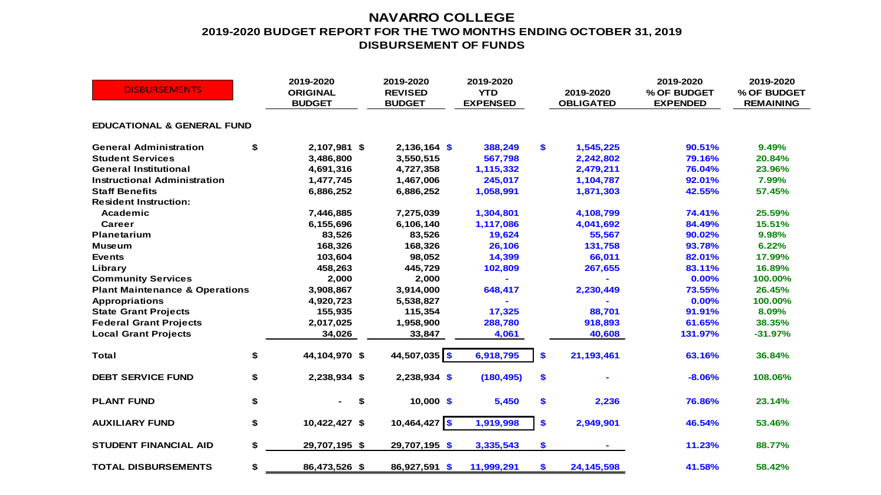## **NAVARRO COLLEGE 2019-2020 BUDGET REPORT FOR THE TWO MONTHS ENDING OCTOBER 31, 2019 DISBURSEMENT OF FUNDS**

| <b>DISBURSEMENTS</b>                      |    | 2019-2020<br><b>ORIGINAL</b><br><b>BUDGET</b> | 2019-2020<br><b>REVISED</b><br><b>BUDGET</b> | 2019-2020<br><b>YTD</b><br><b>EXPENSED</b> | 2019-2020<br><b>OBLIGATED</b> | 2019-2020<br>% OF BUDGET<br><b>EXPENDED</b> | 2019-2020<br>% OF BUDGET<br><b>REMAINING</b> |
|-------------------------------------------|----|-----------------------------------------------|----------------------------------------------|--------------------------------------------|-------------------------------|---------------------------------------------|----------------------------------------------|
| <b>EDUCATIONAL &amp; GENERAL FUND</b>     |    |                                               |                                              |                                            |                               |                                             |                                              |
| <b>General Administration</b>             | \$ | 2,107,981 \$                                  | $2,136,164$ \$                               | 388,249                                    | \$<br>1,545,225               | 90.51%                                      | 9.49%                                        |
| <b>Student Services</b>                   |    | 3,486,800                                     | 3,550,515                                    | 567,798                                    | 2,242,802                     | 79.16%                                      | 20.84%                                       |
| <b>General Institutional</b>              |    | 4,691,316                                     | 4,727,358                                    | 1,115,332                                  | 2,479,211                     | 76.04%                                      | 23.96%                                       |
| <b>Instructional Administration</b>       |    | 1,477,745                                     | 1,467,006                                    | 245,017                                    | 1,104,787                     | 92.01%                                      | 7.99%                                        |
| <b>Staff Benefits</b>                     |    | 6,886,252                                     | 6,886,252                                    | 1,058,991                                  | 1,871,303                     | 42.55%                                      | 57.45%                                       |
| <b>Resident Instruction:</b>              |    |                                               |                                              |                                            |                               |                                             |                                              |
| Academic                                  |    | 7,446,885                                     | 7,275,039                                    | 1,304,801                                  | 4,108,799                     | 74.41%                                      | 25.59%                                       |
| Career                                    |    | 6,155,696                                     | 6,106,140                                    | 1,117,086                                  | 4,041,692                     | 84.49%                                      | 15.51%                                       |
| <b>Planetarium</b>                        |    | 83,526                                        | 83,526                                       | 19,624                                     | 55,567                        | 90.02%                                      | 9.98%                                        |
| <b>Museum</b>                             |    | 168,326                                       | 168,326                                      | 26,106                                     | 131,758                       | 93.78%                                      | 6.22%                                        |
| <b>Events</b>                             |    | 103,604                                       | 98,052                                       | 14,399                                     | 66,011                        | 82.01%                                      | 17.99%                                       |
| Library                                   |    | 458,263                                       | 445,729                                      | 102,809                                    | 267,655                       | 83.11%                                      | 16.89%                                       |
| <b>Community Services</b>                 |    | 2,000                                         | 2,000                                        |                                            |                               | 0.00%                                       | 100.00%                                      |
| <b>Plant Maintenance &amp; Operations</b> |    | 3,908,867                                     | 3,914,000                                    | 648,417                                    | 2,230,449                     | 73.55%                                      | 26.45%                                       |
| <b>Appropriations</b>                     |    | 4,920,723                                     | 5,538,827                                    |                                            |                               | 0.00%                                       | 100.00%                                      |
| <b>State Grant Projects</b>               |    | 155,935                                       | 115,354                                      | 17,325                                     | 88,701                        | 91.91%                                      | 8.09%                                        |
| <b>Federal Grant Projects</b>             |    | 2,017,025                                     | 1,958,900                                    | 288,780                                    | 918,893                       | 61.65%                                      | 38.35%                                       |
| <b>Local Grant Projects</b>               |    | 34,026                                        | 33,847                                       | 4,061                                      | 40,608                        | 131.97%                                     | $-31.97%$                                    |
| <b>Total</b>                              | \$ | 44,104,970 \$                                 | 44,507,035 \$                                | 6,918,795                                  | \$<br>21,193,461              | 63.16%                                      | 36.84%                                       |
| <b>DEBT SERVICE FUND</b>                  | \$ | 2,238,934 \$                                  | $2,238,934$ \$                               | (180, 495)                                 | \$                            | $-8.06%$                                    | 108.06%                                      |
| <b>PLANT FUND</b>                         | \$ | \$                                            | $10,000$ \$                                  | 5,450                                      | \$<br>2,236                   | 76.86%                                      | 23.14%                                       |
| <b>AUXILIARY FUND</b>                     | \$ | 10,422,427 \$                                 | $10,464,427$ \$                              | 1,919,998                                  | \$<br>2,949,901               | 46.54%                                      | 53.46%                                       |
| <b>STUDENT FINANCIAL AID</b>              | \$ | 29,707,195 \$                                 | 29,707,195 \$                                | 3,335,543                                  | \$                            | 11.23%                                      | 88.77%                                       |
| <b>TOTAL DISBURSEMENTS</b>                | \$ | 86,473,526 \$                                 | 86,927,591 \$                                | 11,999,291                                 | \$<br>24, 145, 598            | 41.58%                                      | 58.42%                                       |